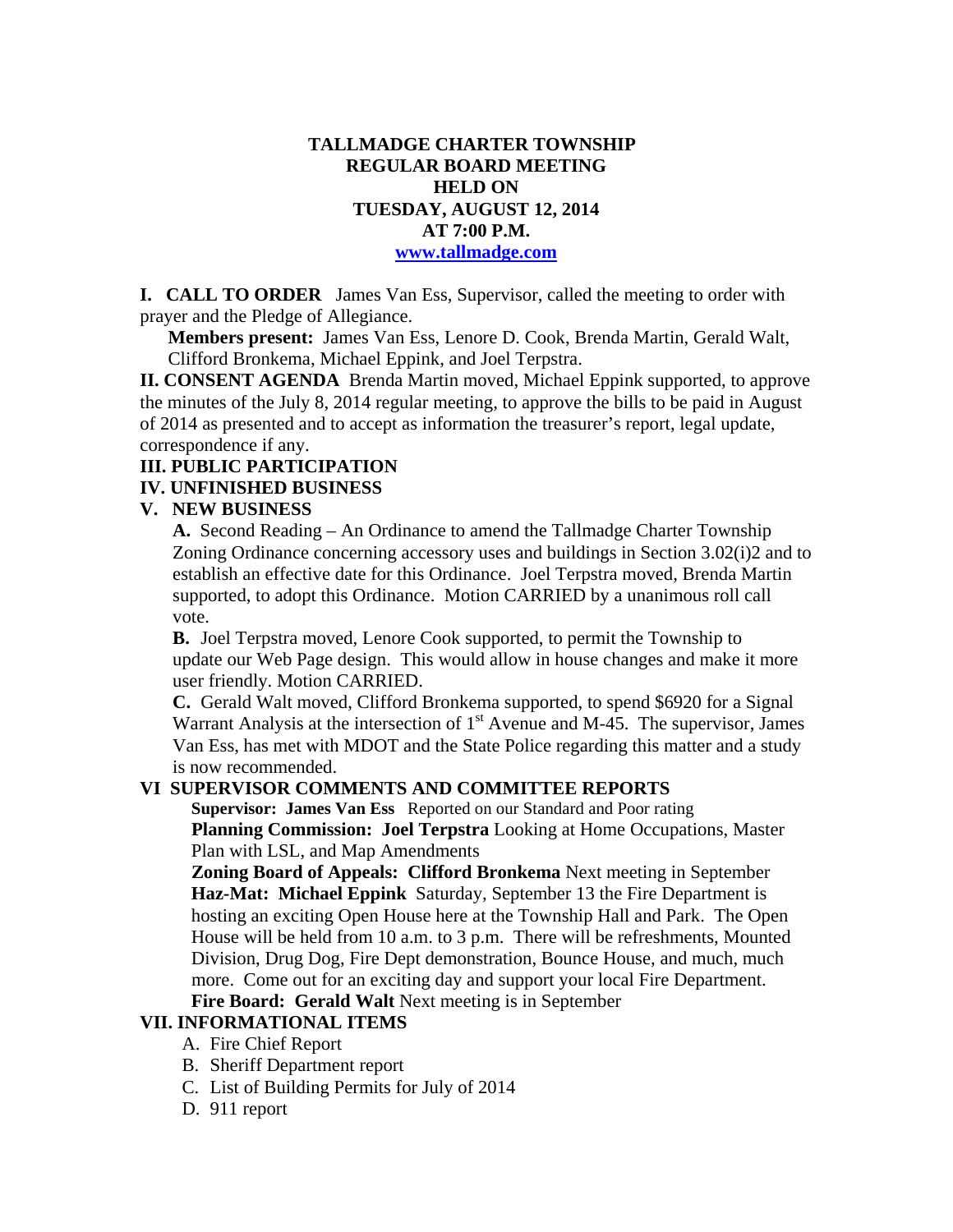## **TALLMADGE CHARTER TOWNSHIP REGULAR BOARD MEETING HELD ON TUESDAY, AUGUST 12, 2014 AT 7:00 P.M. www.tallmadge.com**

**I. CALL TO ORDER** James Van Ess, Supervisor, called the meeting to order with prayer and the Pledge of Allegiance.

**Members present:** James Van Ess, Lenore D. Cook, Brenda Martin, Gerald Walt, Clifford Bronkema, Michael Eppink, and Joel Terpstra.

**II. CONSENT AGENDA** Brenda Martin moved, Michael Eppink supported, to approve the minutes of the July 8, 2014 regular meeting, to approve the bills to be paid in August of 2014 as presented and to accept as information the treasurer's report, legal update, correspondence if any.

## **III. PUBLIC PARTICIPATION**

# **IV. UNFINISHED BUSINESS**

#### **V. NEW BUSINESS**

**A.** Second Reading – An Ordinance to amend the Tallmadge Charter Township Zoning Ordinance concerning accessory uses and buildings in Section 3.02(i)2 and to establish an effective date for this Ordinance. Joel Terpstra moved, Brenda Martin supported, to adopt this Ordinance. Motion CARRIED by a unanimous roll call vote.

**B.** Joel Terpstra moved, Lenore Cook supported, to permit the Township to update our Web Page design. This would allow in house changes and make it more user friendly. Motion CARRIED.

**C.** Gerald Walt moved, Clifford Bronkema supported, to spend \$6920 for a Signal Warrant Analysis at the intersection of  $1<sup>st</sup>$  Avenue and M-45. The supervisor, James Van Ess, has met with MDOT and the State Police regarding this matter and a study is now recommended.

#### **VI SUPERVISOR COMMENTS AND COMMITTEE REPORTS**

**Supervisor: James Van Ess** Reported on our Standard and Poor rating **Planning Commission: Joel Terpstra** Looking at Home Occupations, Master Plan with LSL, and Map Amendments

 **Zoning Board of Appeals: Clifford Bronkema** Next meeting in September **Haz-Mat: Michael Eppink** Saturday, September 13 the Fire Department is hosting an exciting Open House here at the Township Hall and Park. The Open House will be held from 10 a.m. to 3 p.m. There will be refreshments, Mounted Division, Drug Dog, Fire Dept demonstration, Bounce House, and much, much more. Come out for an exciting day and support your local Fire Department.

## **Fire Board: Gerald Walt** Next meeting is in September

#### **VII. INFORMATIONAL ITEMS**

- A. Fire Chief Report
- B. Sheriff Department report
- C. List of Building Permits for July of 2014
- D. 911 report